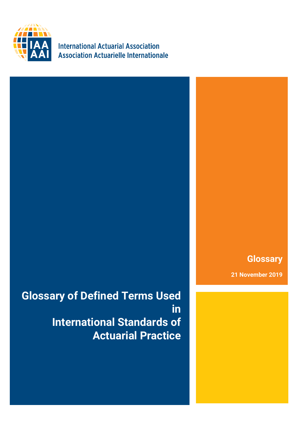

**International Actuarial Association Association Actuarielle Internationale** 

**Glossary**

**21 November 2019**

**Glossary of Defined Terms Used in International Standards of Actuarial Practice**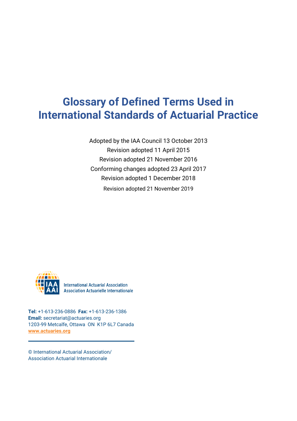## **Glossary of Defined Terms Used in International Standards of Actuarial Practice**

Adopted by the IAA Council 13 October 2013 Revision adopted 11 April 2015 Revision adopted 21 November 2016 Conforming changes adopted 23 April 2017 Revision adopted 1 December 2018 Revision adopted 21 November 2019



**International Actuarial Association Association Actuarielle Internationale** 

**Tel:** +1-613-236-0886 **Fax:** +1-613-236-1386 **Email:** secretariat@actuaries.org 1203-99 Metcalfe, Ottawa ON K1P 6L7 Canada **[www.actuaries.org](http://www.actuaries.org/)**

© International Actuarial Association/ Association Actuarial Internationale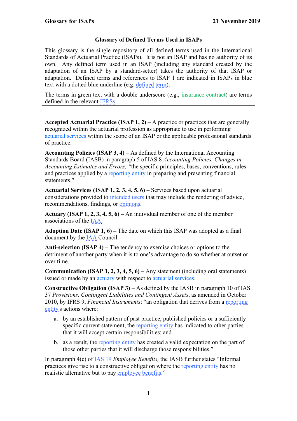## **Glossary of Defined Terms Used in ISAPs**

This glossary is the single repository of all defined terms used in the International Standards of Actuarial Practice (ISAPs). It is not an ISAP and has no authority of its own. Any defined term used in an ISAP (including any standard created by the adaptation of an ISAP by a standard-setter) takes the authority of that ISAP or adaptation. Defined terms and references to ISAP 1 are indicated in ISAPs in blue text with a dotted blue underline (e.g. defined term).

The terms in green text with a double underscore (e.g., insurance contract) are terms defined in the relevant IFRSs.

**Accepted Actuarial Practice (ISAP 1, 2)** – A practice or practices that are generally recognized within the actuarial profession as appropriate to use in performing [actuarial](#page-2-0) services within the scope of an ISAP or the applicable professional standards of practice.

**Accounting Policies (ISAP 3, 4)** – As defined by the International Accounting Standards Board (IASB) in paragraph 5 of IAS 8 *Accounting Policies, Changes in Accounting Estimates and Errors, "*the specific principles, bases, conventions, rules and practices applied by a [reporting entity](#page-4-0) in preparing and presenting financial statements."

<span id="page-2-0"></span>**Actuarial Services (ISAP 1, 2, 3, 4, 5, 6) –** Services based upon actuarial considerations provided to [intended users](#page-4-1) that may include the rendering of advice, recommendations, findings, or opinions.

<span id="page-2-1"></span>**Actuary (ISAP 1, 2, 3, 4, 5, 6) –** An individual member of one of the member associations of the [IAA.](#page-3-0)

**Adoption Date (ISAP 1, 6) –** The date on which this ISAP was adopted as a final document by the [IAA](#page-3-0) Council.

<span id="page-2-2"></span>**Anti-selection (ISAP 4) –** The tendency to exercise choices or options to the detriment of another party when it is to one's advantage to do so whether at outset or over time.

**Communication (ISAP 1, 2, 3, 4, 5, 6) –** Any statement (including oral statements) issued or made by an [actuary](#page-2-1) with respect to [actuarial services.](#page-2-0)

**Constructive Obligation (ISAP 3)** – As defined by the IASB in paragraph 10 of IAS 37 *Provisions, Contingent Liabilities and Contingent Assets*, as amended in October 2010, by IFRS 9, *Financial Instruments*: "an obligation that derives from a [reporting](#page-4-0)  [entity's](#page-4-0) actions where:

- a. by an established pattern of past practice, published policies or a sufficiently specific current statement, the [reporting entity](#page-4-0) has indicated to other parties that it will accept certain responsibilities; and
- b. as a result, the [reporting entity](#page-4-0) has created a valid expectation on the part of those other parties that it will discharge those responsibilities."

In paragraph 4(c) of [IAS 19](#page-3-1) *Employee Benefits,* the IASB further states "Informal practices give rise to a constructive obligation where the [reporting entity](#page-4-0) has no realistic alternative but to pay [employee benefits.](#page-3-2)"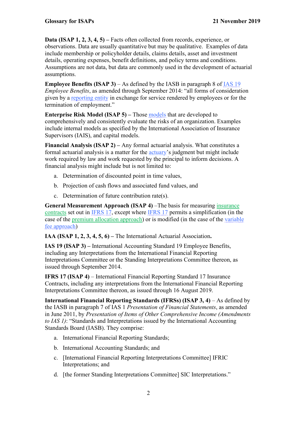<span id="page-3-2"></span>**Data (ISAP 1, 2, 3, 4, 5) –** Facts often collected from records, experience, or observations. Data are usually quantitative but may be qualitative. Examples of data include membership or policyholder details, claims details, asset and investment details, operating expenses, benefit definitions, and policy terms and conditions. Assumptions are not data, but data are commonly used in the development of actuarial assumptions.

**Employee Benefits (ISAP 3)** – As defined by the IASB in paragraph 8 of [IAS 19](#page-3-1) *Employee Benefits*, as amended through September 2014: "all forms of consideration given by a [reporting entity](#page-4-0) in exchange for service rendered by employees or for the termination of employment."

<span id="page-3-3"></span>**Enterprise Risk Model (ISAP 5) –** Those [models](#page-4-2) that are developed to comprehensively and consistently evaluate the risks of an [organization.](#page-3-3) Examples include internal models as specified by the International Association of Insurance Supervisors (IAIS), and capital models.

**Financial Analysis (ISAP 2) –** Any formal actuarial analysis. What constitutes a formal actuarial analysis is a matter for the [actuary'](#page-2-1)s judgment but might include work required by law and work requested by the principal to inform decisions. A financial analysis might include but is not limited to:

- a. Determination of discounted point in time values,
- b. Projection of cash flows and associated fund values, and
- c. Determination of future contribution rate(s).

<span id="page-3-0"></span>**General Measurement Approach (ISAP 4)** –The basis for measuring insurance contracts set out in IFRS 17, except where IFRS 17 permits a simplification (in the case of the premium allocation approach) or is modified (in the case of the variable fee approach)

**IAA (ISAP 1, 2, 3, 4, 5, 6) –** The International Actuarial Association**.**

<span id="page-3-1"></span>**IAS 19 (ISAP 3) –** International Accounting Standard 19 Employee Benefits, including any Interpretations from the International Financial Reporting Interpretations Committee or the Standing Interpretations Committee thereon, as issued through September 2014.

**IFRS 17 (ISAP 4)** – International Financial Reporting Standard 17 Insurance Contracts, including any interpretations from the International Financial Reporting Interpretations Committee thereon, as issued through 16 August 2019.

**International Financial Reporting Standards (IFRSs) (ISAP 3, 4)** – As defined by the IASB in paragraph 7 of IAS 1 *Presentation of Financial Statements*, as amended in June 2011, by *Presentation of Items of Other Comprehensive Income (Amendments to IAS 1)*: "Standards and Interpretations issued by the International Accounting Standards Board (IASB). They comprise:

- a. International Financial Reporting Standards;
- b. International Accounting Standards; and
- c. [International Financial Reporting Interpretations Committee] IFRIC Interpretations; and
- d. [the former Standing Interpretations Committee] SIC Interpretations."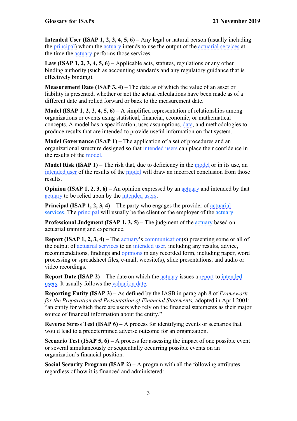<span id="page-4-1"></span>**Intended User (ISAP 1, 2, 3, 4, 5, 6) –** Any legal or natural person (usually including the [principal\)](#page-4-3) whom the [actuary](#page-2-1) intends to use the output of the actuarial services at the time the [actuary](#page-2-1) performs those services.

<span id="page-4-5"></span>**Law (ISAP 1, 2, 3, 4, 5, 6) –** Applicable acts, statutes, regulations or any other binding authority (such as accounting standards and any regulatory guidance that is effectively binding).

**Measurement Date (ISAP 3, 4)** – The date as of which the value of an asset or liability is presented, whether or not the actual calculations have been made as of a different date and rolled forward or back to the measurement date.

<span id="page-4-2"></span>**Model (ISAP 1, 2, 3, 4, 5, 6)** – A simplified representation of relationships among organizations or events using statistical, financial, economic, or mathematical concepts. A model has a specification, uses assumptions, [data,](#page-3-2) and methodologies to produce results that are intended to provide useful information on that system.

**Model Governance (ISAP 1)** – The application of a set of procedures and an organizational structure designed so that [intended users](#page-4-1) can place their confidence in the results of the [model.](#page-4-2)

**Model Risk (ISAP 1)** – The risk that, due to deficiency in the [model](#page-4-2) or in its use, an [intended user](#page-4-1) of the results of the [model](#page-4-2) will draw an incorrect conclusion from those results.

**Opinion (ISAP 1, 2, 3, 6)** – An opinion expressed by an [actuary](#page-2-1) and intended by that [actuary](#page-2-1) to be relied upon by the [intended users.](#page-4-1)

<span id="page-4-3"></span>**Principal (ISAP 1, 2, 3, 4)** – The party who engages the provider of [actuarial](#page-2-0)  [services.](#page-2-0) The [principal](#page-4-3) will usually be the client or the employer of the [actuary.](#page-2-1)

**Professional Judgment (ISAP 1, 3, 5) – The judgment of the [actuary](#page-2-1) based on** actuarial training and experience.

<span id="page-4-4"></span>**Report (ISAP 1, 2, 3, 4) –** The [actuary'](#page-2-1)s [communication\(](#page-2-2)s) presenting some or all of the output of [actuarial services](#page-2-0) to an [intended user,](#page-4-1) including any results, advice, recommendations, findings and opinions in any recorded form, including paper, word processing or spreadsheet files, e-mail, website(s), slide presentations, and audio or video recordings.

<span id="page-4-7"></span>**Report Date (ISAP 2) –** The date on which the [actuary](#page-2-1) issues a [report](#page-4-4) to intended [users.](#page-4-1) It usually follows the [valuation date.](#page-5-0)

<span id="page-4-0"></span>**Reporting Entity (ISAP 3) –** As defined by the IASB in paragraph 8 of *Framework for the Preparation and Presentation of Financial Statements, adopted in April 2001:* "an entity for which there are users who rely on the financial statements as their major source of financial information about the entity."

**Reverse Stress Test (ISAP 6) –** A process for identifying events or scenarios that would lead to a predetermined adverse outcome for an organization.

**Scenario Test (ISAP 5, 6)** – A process for assessing the impact of one possible event or several simultaneously or sequentially occurring possible events on an [organization'](#page-3-3)s financial position.

<span id="page-4-6"></span>**Social Security Program (ISAP 2) –** A program with all the following attributes regardless of how it is financed and administered: